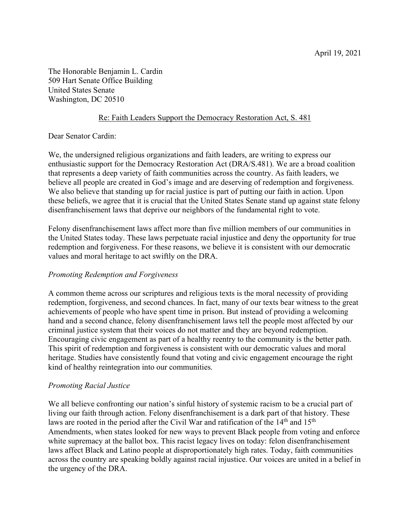The Honorable Benjamin L. Cardin 509 Hart Senate Office Building United States Senate Washington, DC 20510

## Re: Faith Leaders Support the Democracy Restoration Act, S. 481

Dear Senator Cardin:

We, the undersigned religious organizations and faith leaders, are writing to express our enthusiastic support for the Democracy Restoration Act (DRA/S.481). We are a broad coalition that represents a deep variety of faith communities across the country. As faith leaders, we believe all people are created in God's image and are deserving of redemption and forgiveness. We also believe that standing up for racial justice is part of putting our faith in action. Upon these beliefs, we agree that it is crucial that the United States Senate stand up against state felony disenfranchisement laws that deprive our neighbors of the fundamental right to vote.

Felony disenfranchisement laws affect more than five million members of our communities in the United States today. These laws perpetuate racial injustice and deny the opportunity for true redemption and forgiveness. For these reasons, we believe it is consistent with our democratic values and moral heritage to act swiftly on the DRA.

# *Promoting Redemption and Forgiveness*

A common theme across our scriptures and religious texts is the moral necessity of providing redemption, forgiveness, and second chances. In fact, many of our texts bear witness to the great achievements of people who have spent time in prison. But instead of providing a welcoming hand and a second chance, felony disenfranchisement laws tell the people most affected by our criminal justice system that their voices do not matter and they are beyond redemption. Encouraging civic engagement as part of a healthy reentry to the community is the better path. This spirit of redemption and forgiveness is consistent with our democratic values and moral heritage. Studies have consistently found that voting and civic engagement encourage the right kind of healthy reintegration into our communities.

### *Promoting Racial Justice*

We all believe confronting our nation's sinful history of systemic racism to be a crucial part of living our faith through action. Felony disenfranchisement is a dark part of that history. These laws are rooted in the period after the Civil War and ratification of the  $14<sup>th</sup>$  and  $15<sup>th</sup>$ Amendments, when states looked for new ways to prevent Black people from voting and enforce white supremacy at the ballot box. This racist legacy lives on today: felon disenfranchisement laws affect Black and Latino people at disproportionately high rates. Today, faith communities across the country are speaking boldly against racial injustice. Our voices are united in a belief in the urgency of the DRA.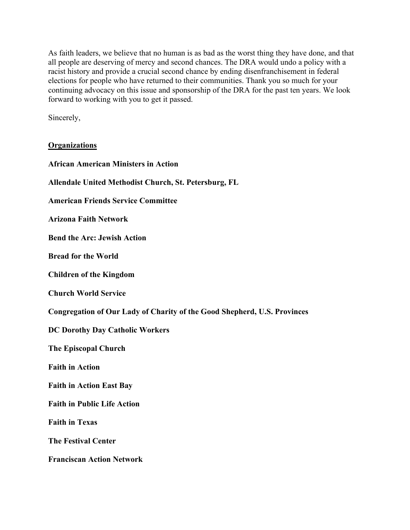As faith leaders, we believe that no human is as bad as the worst thing they have done, and that all people are deserving of mercy and second chances. The DRA would undo a policy with a racist history and provide a crucial second chance by ending disenfranchisement in federal elections for people who have returned to their communities. Thank you so much for your continuing advocacy on this issue and sponsorship of the DRA for the past ten years. We look forward to working with you to get it passed.

Sincerely,

### **Organizations**

| <b>African American Ministers in Action</b>                                     |
|---------------------------------------------------------------------------------|
| Allendale United Methodist Church, St. Petersburg, FL                           |
| <b>American Friends Service Committee</b>                                       |
| <b>Arizona Faith Network</b>                                                    |
| <b>Bend the Arc: Jewish Action</b>                                              |
| <b>Bread for the World</b>                                                      |
| <b>Children of the Kingdom</b>                                                  |
| <b>Church World Service</b>                                                     |
| <b>Congregation of Our Lady of Charity of the Good Shepherd, U.S. Provinces</b> |
| <b>DC Dorothy Day Catholic Workers</b>                                          |
| <b>The Episcopal Church</b>                                                     |
| <b>Faith in Action</b>                                                          |
| <b>Faith in Action East Bay</b>                                                 |
| <b>Faith in Public Life Action</b>                                              |
| <b>Faith in Texas</b>                                                           |
| <b>The Festival Center</b>                                                      |
| <b>Franciscan Action Network</b>                                                |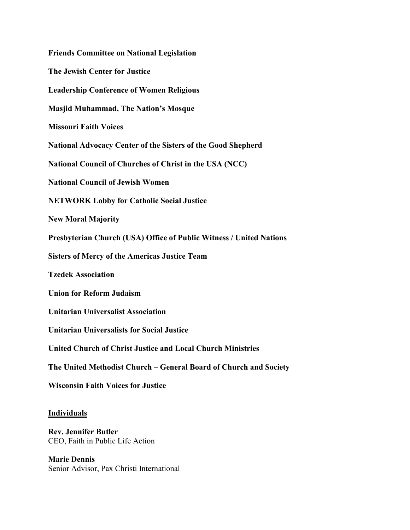**Friends Committee on National Legislation The Jewish Center for Justice Leadership Conference of Women Religious Masjid Muhammad, The Nation's Mosque Missouri Faith Voices National Advocacy Center of the Sisters of the Good Shepherd National Council of Churches of Christ in the USA (NCC) National Council of Jewish Women NETWORK Lobby for Catholic Social Justice New Moral Majority Presbyterian Church (USA) Office of Public Witness / United Nations Sisters of Mercy of the Americas Justice Team Tzedek Association Union for Reform Judaism Unitarian Universalist Association Unitarian Universalists for Social Justice United Church of Christ Justice and Local Church Ministries The United Methodist Church – General Board of Church and Society Wisconsin Faith Voices for Justice**

#### **Individuals**

**Rev. Jennifer Butler** CEO, Faith in Public Life Action

**Marie Dennis** Senior Advisor, Pax Christi International